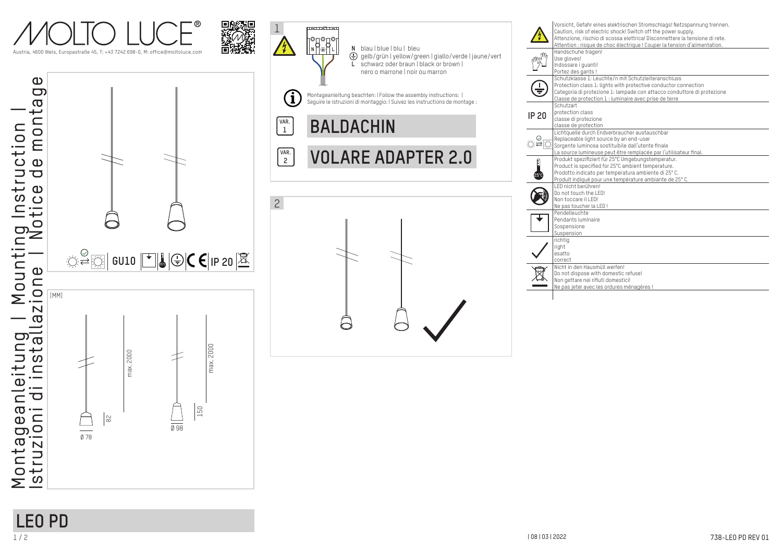



 $\frac{1}{\sqrt{98}}$ 

150



|       | Attenzione, rischio di scossa elettrica! Disconnettere la tensione di rete.<br>Attention : risque de choc électrique ! Couper la tension d'alimentation. |
|-------|----------------------------------------------------------------------------------------------------------------------------------------------------------|
|       | Handschuhe tragen!                                                                                                                                       |
|       | Use aloves!                                                                                                                                              |
|       | Indossare i quanti!                                                                                                                                      |
|       | Portez des gants!                                                                                                                                        |
|       | Schutzklasse 1: Leuchte/n mit Schutzleiteranschluss                                                                                                      |
|       | Protection class 1: lights with protective conductor connection                                                                                          |
|       | Categoria di protezione 1: lampade con attacco conduttore di protezione                                                                                  |
|       | Classe de protection 1 : luminaire avec prise de terre<br>Schutzart                                                                                      |
| IP 20 | protection class                                                                                                                                         |
|       | classe di protezione                                                                                                                                     |
|       | classe de protection                                                                                                                                     |
|       | Lichtquelle durch Endverbraucher austauschbar                                                                                                            |
|       | Replaceable light source by an end-user                                                                                                                  |
|       | Sorgente luminosa sostituibile dall'utente finale                                                                                                        |
|       | La source lumineuse peut être remplacée par l'utilisateur final.                                                                                         |
| Ê     | Produkt spezifiziert für 25°C Umgebungstemperatur.                                                                                                       |
|       | Product is specified for 25°C ambient temperature.                                                                                                       |
|       | Prodotto indicato per temperatura ambiente di 25°C.                                                                                                      |
|       | Produit indiqué pour une température ambiante de 25°C.                                                                                                   |
|       | I FD nicht berühren!                                                                                                                                     |
|       | Do not touch the LED!                                                                                                                                    |
|       | Non toccare il I FD!                                                                                                                                     |
|       | Ne pas toucher la LED!                                                                                                                                   |
|       | Pendelleuchte                                                                                                                                            |
|       | Pendants luminaire                                                                                                                                       |
|       | Sospensione                                                                                                                                              |
|       | Suspension                                                                                                                                               |
|       | richtig<br>right                                                                                                                                         |
|       | esatto                                                                                                                                                   |
|       | correct                                                                                                                                                  |
|       | Nicht in den Hausmüll werfen!                                                                                                                            |
|       | Do not dispose with domestic refuse!                                                                                                                     |
|       | Non gettare nei rifiuti domestici!                                                                                                                       |
|       | Ne pas jeter avec les ordures ménagères !                                                                                                                |

# **LEO PD**

 $rac{1}{\sqrt{1}}$ 

 $\approx$